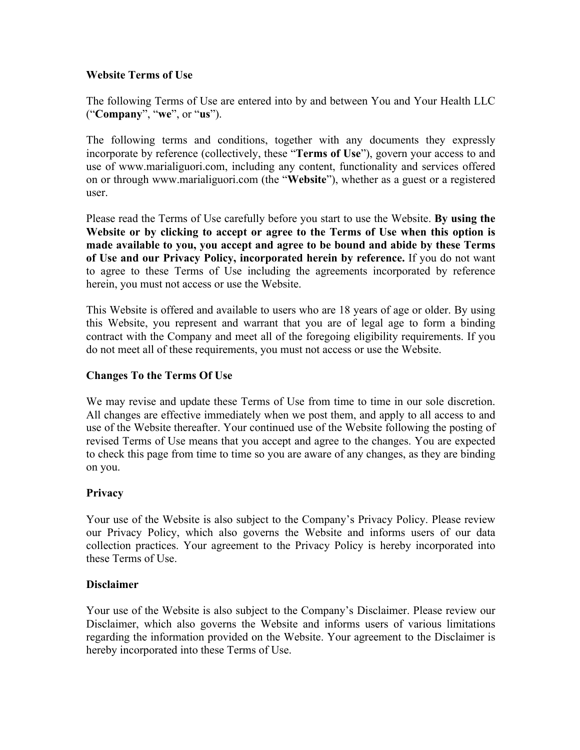## **Website Terms of Use**

The following Terms of Use are entered into by and between You and Your Health LLC ("**Company**", "**we**", or "**us**").

The following terms and conditions, together with any documents they expressly incorporate by reference (collectively, these "**Terms of Use**"), govern your access to and use of www.marialiguori.com, including any content, functionality and services offered on or through www.marialiguori.com (the "**Website**"), whether as a guest or a registered user.

Please read the Terms of Use carefully before you start to use the Website. **By using the Website or by clicking to accept or agree to the Terms of Use when this option is made available to you, you accept and agree to be bound and abide by these Terms of Use and our Privacy Policy, incorporated herein by reference.** If you do not want to agree to these Terms of Use including the agreements incorporated by reference herein, you must not access or use the Website.

This Website is offered and available to users who are 18 years of age or older. By using this Website, you represent and warrant that you are of legal age to form a binding contract with the Company and meet all of the foregoing eligibility requirements. If you do not meet all of these requirements, you must not access or use the Website.

## **Changes To the Terms Of Use**

We may revise and update these Terms of Use from time to time in our sole discretion. All changes are effective immediately when we post them, and apply to all access to and use of the Website thereafter. Your continued use of the Website following the posting of revised Terms of Use means that you accept and agree to the changes. You are expected to check this page from time to time so you are aware of any changes, as they are binding on you.

# **Privacy**

Your use of the Website is also subject to the Company's Privacy Policy. Please review our Privacy Policy, which also governs the Website and informs users of our data collection practices. Your agreement to the Privacy Policy is hereby incorporated into these Terms of Use.

### **Disclaimer**

Your use of the Website is also subject to the Company's Disclaimer. Please review our Disclaimer, which also governs the Website and informs users of various limitations regarding the information provided on the Website. Your agreement to the Disclaimer is hereby incorporated into these Terms of Use.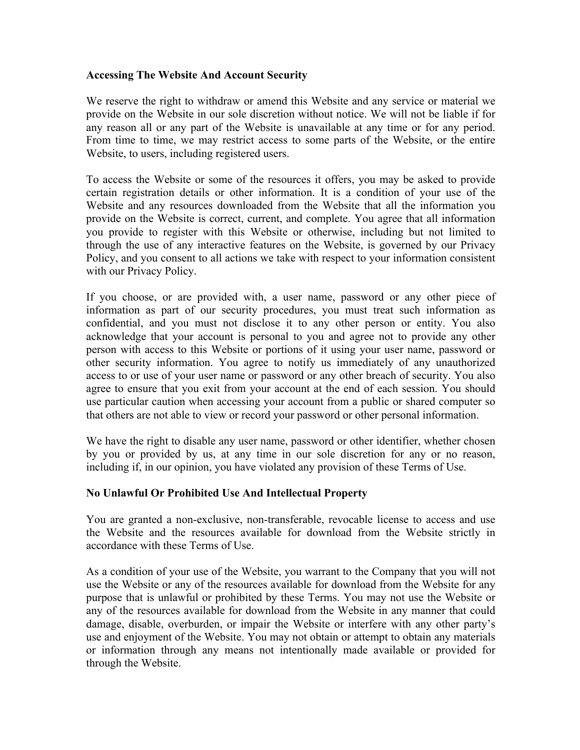### **Accessing The Website And Account Security**

We reserve the right to withdraw or amend this Website and any service or material we provide on the Website in our sole discretion without notice. We will not be liable if for any reason all or any part of the Website is unavailable at any time or for any period. From time to time, we may restrict access to some parts of the Website, or the entire Website, to users, including registered users.

To access the Website or some of the resources it offers, you may be asked to provide certain registration details or other information. It is a condition of your use of the Website and any resources downloaded from the Website that all the information you provide on the Website is correct, current, and complete. You agree that all information you provide to register with this Website or otherwise, including but not limited to through the use of any interactive features on the Website, is governed by our Privacy Policy, and you consent to all actions we take with respect to your information consistent with our Privacy Policy.

If you choose, or are provided with, a user name, password or any other piece of information as part of our security procedures, you must treat such information as confidential, and you must not disclose it to any other person or entity. You also acknowledge that your account is personal to you and agree not to provide any other person with access to this Website or portions of it using your user name, password or other security information. You agree to notify us immediately of any unauthorized access to or use of your user name or password or any other breach of security. You also agree to ensure that you exit from your account at the end of each session. You should use particular caution when accessing your account from a public or shared computer so that others are not able to view or record your password or other personal information.

We have the right to disable any user name, password or other identifier, whether chosen by you or provided by us, at any time in our sole discretion for any or no reason, including if, in our opinion, you have violated any provision of these Terms of Use.

# **No Unlawful Or Prohibited Use And Intellectual Property**

You are granted a non-exclusive, non-transferable, revocable license to access and use the Website and the resources available for download from the Website strictly in accordance with these Terms of Use.

As a condition of your use of the Website, you warrant to the Company that you will not use the Website or any of the resources available for download from the Website for any purpose that is unlawful or prohibited by these Terms. You may not use the Website or any of the resources available for download from the Website in any manner that could damage, disable, overburden, or impair the Website or interfere with any other party's use and enjoyment of the Website. You may not obtain or attempt to obtain any materials or information through any means not intentionally made available or provided for through the Website.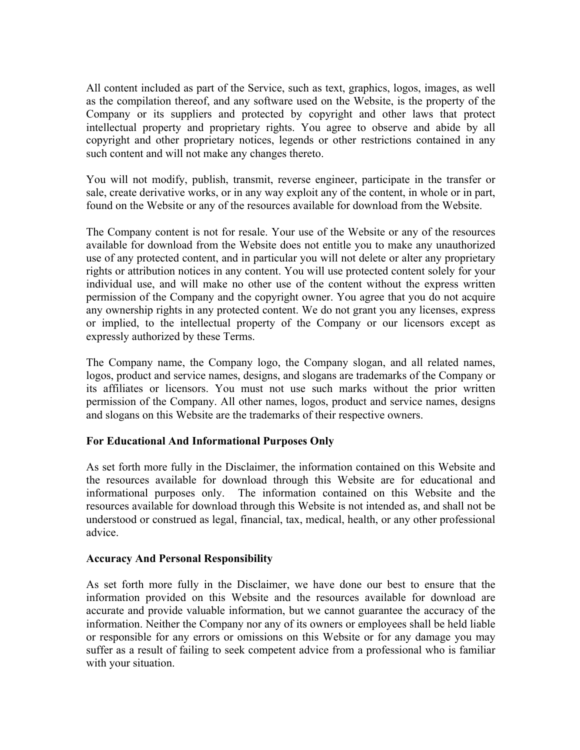All content included as part of the Service, such as text, graphics, logos, images, as well as the compilation thereof, and any software used on the Website, is the property of the Company or its suppliers and protected by copyright and other laws that protect intellectual property and proprietary rights. You agree to observe and abide by all copyright and other proprietary notices, legends or other restrictions contained in any such content and will not make any changes thereto.

You will not modify, publish, transmit, reverse engineer, participate in the transfer or sale, create derivative works, or in any way exploit any of the content, in whole or in part, found on the Website or any of the resources available for download from the Website.

The Company content is not for resale. Your use of the Website or any of the resources available for download from the Website does not entitle you to make any unauthorized use of any protected content, and in particular you will not delete or alter any proprietary rights or attribution notices in any content. You will use protected content solely for your individual use, and will make no other use of the content without the express written permission of the Company and the copyright owner. You agree that you do not acquire any ownership rights in any protected content. We do not grant you any licenses, express or implied, to the intellectual property of the Company or our licensors except as expressly authorized by these Terms.

The Company name, the Company logo, the Company slogan, and all related names, logos, product and service names, designs, and slogans are trademarks of the Company or its affiliates or licensors. You must not use such marks without the prior written permission of the Company. All other names, logos, product and service names, designs and slogans on this Website are the trademarks of their respective owners.

# **For Educational And Informational Purposes Only**

As set forth more fully in the Disclaimer, the information contained on this Website and the resources available for download through this Website are for educational and informational purposes only. The information contained on this Website and the resources available for download through this Website is not intended as, and shall not be understood or construed as legal, financial, tax, medical, health, or any other professional advice.

### **Accuracy And Personal Responsibility**

As set forth more fully in the Disclaimer, we have done our best to ensure that the information provided on this Website and the resources available for download are accurate and provide valuable information, but we cannot guarantee the accuracy of the information. Neither the Company nor any of its owners or employees shall be held liable or responsible for any errors or omissions on this Website or for any damage you may suffer as a result of failing to seek competent advice from a professional who is familiar with your situation.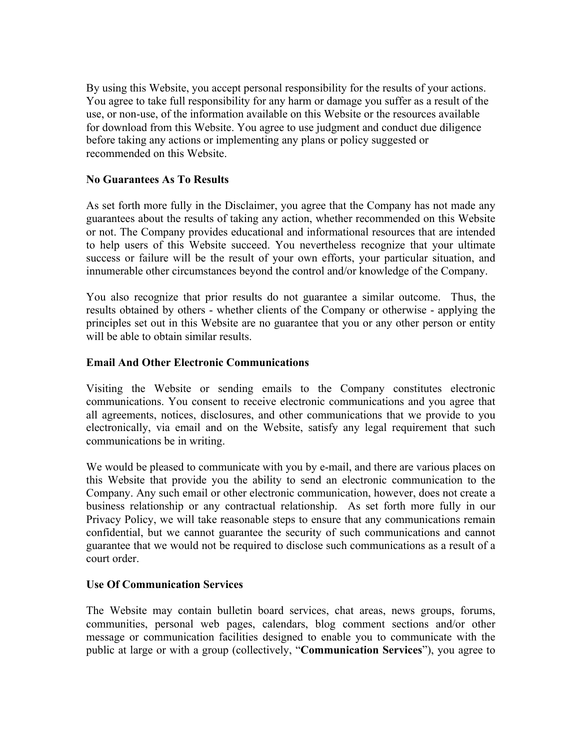By using this Website, you accept personal responsibility for the results of your actions. You agree to take full responsibility for any harm or damage you suffer as a result of the use, or non-use, of the information available on this Website or the resources available for download from this Website. You agree to use judgment and conduct due diligence before taking any actions or implementing any plans or policy suggested or recommended on this Website.

### **No Guarantees As To Results**

As set forth more fully in the Disclaimer, you agree that the Company has not made any guarantees about the results of taking any action, whether recommended on this Website or not. The Company provides educational and informational resources that are intended to help users of this Website succeed. You nevertheless recognize that your ultimate success or failure will be the result of your own efforts, your particular situation, and innumerable other circumstances beyond the control and/or knowledge of the Company.

You also recognize that prior results do not guarantee a similar outcome. Thus, the results obtained by others - whether clients of the Company or otherwise - applying the principles set out in this Website are no guarantee that you or any other person or entity will be able to obtain similar results.

### **Email And Other Electronic Communications**

Visiting the Website or sending emails to the Company constitutes electronic communications. You consent to receive electronic communications and you agree that all agreements, notices, disclosures, and other communications that we provide to you electronically, via email and on the Website, satisfy any legal requirement that such communications be in writing.

We would be pleased to communicate with you by e-mail, and there are various places on this Website that provide you the ability to send an electronic communication to the Company. Any such email or other electronic communication, however, does not create a business relationship or any contractual relationship. As set forth more fully in our Privacy Policy, we will take reasonable steps to ensure that any communications remain confidential, but we cannot guarantee the security of such communications and cannot guarantee that we would not be required to disclose such communications as a result of a court order.

### **Use Of Communication Services**

The Website may contain bulletin board services, chat areas, news groups, forums, communities, personal web pages, calendars, blog comment sections and/or other message or communication facilities designed to enable you to communicate with the public at large or with a group (collectively, "**Communication Services**"), you agree to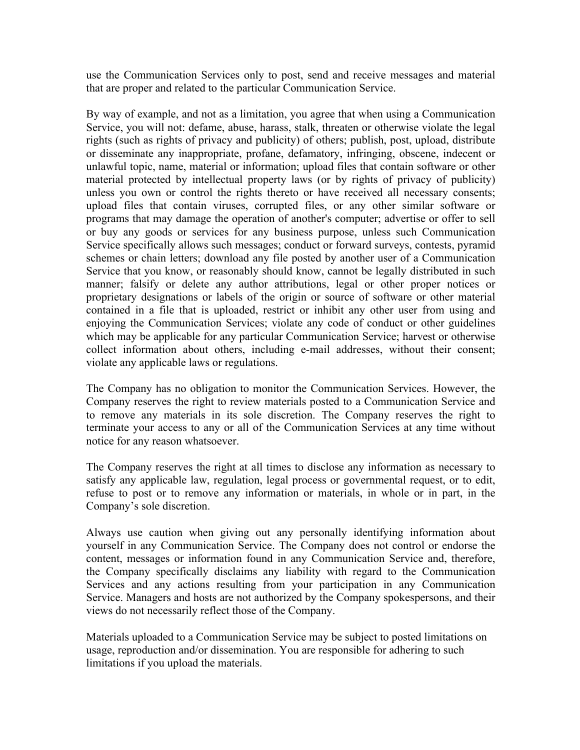use the Communication Services only to post, send and receive messages and material that are proper and related to the particular Communication Service.

By way of example, and not as a limitation, you agree that when using a Communication Service, you will not: defame, abuse, harass, stalk, threaten or otherwise violate the legal rights (such as rights of privacy and publicity) of others; publish, post, upload, distribute or disseminate any inappropriate, profane, defamatory, infringing, obscene, indecent or unlawful topic, name, material or information; upload files that contain software or other material protected by intellectual property laws (or by rights of privacy of publicity) unless you own or control the rights thereto or have received all necessary consents; upload files that contain viruses, corrupted files, or any other similar software or programs that may damage the operation of another's computer; advertise or offer to sell or buy any goods or services for any business purpose, unless such Communication Service specifically allows such messages; conduct or forward surveys, contests, pyramid schemes or chain letters; download any file posted by another user of a Communication Service that you know, or reasonably should know, cannot be legally distributed in such manner; falsify or delete any author attributions, legal or other proper notices or proprietary designations or labels of the origin or source of software or other material contained in a file that is uploaded, restrict or inhibit any other user from using and enjoying the Communication Services; violate any code of conduct or other guidelines which may be applicable for any particular Communication Service; harvest or otherwise collect information about others, including e-mail addresses, without their consent; violate any applicable laws or regulations.

The Company has no obligation to monitor the Communication Services. However, the Company reserves the right to review materials posted to a Communication Service and to remove any materials in its sole discretion. The Company reserves the right to terminate your access to any or all of the Communication Services at any time without notice for any reason whatsoever.

The Company reserves the right at all times to disclose any information as necessary to satisfy any applicable law, regulation, legal process or governmental request, or to edit, refuse to post or to remove any information or materials, in whole or in part, in the Company's sole discretion.

Always use caution when giving out any personally identifying information about yourself in any Communication Service. The Company does not control or endorse the content, messages or information found in any Communication Service and, therefore, the Company specifically disclaims any liability with regard to the Communication Services and any actions resulting from your participation in any Communication Service. Managers and hosts are not authorized by the Company spokespersons, and their views do not necessarily reflect those of the Company.

Materials uploaded to a Communication Service may be subject to posted limitations on usage, reproduction and/or dissemination. You are responsible for adhering to such limitations if you upload the materials.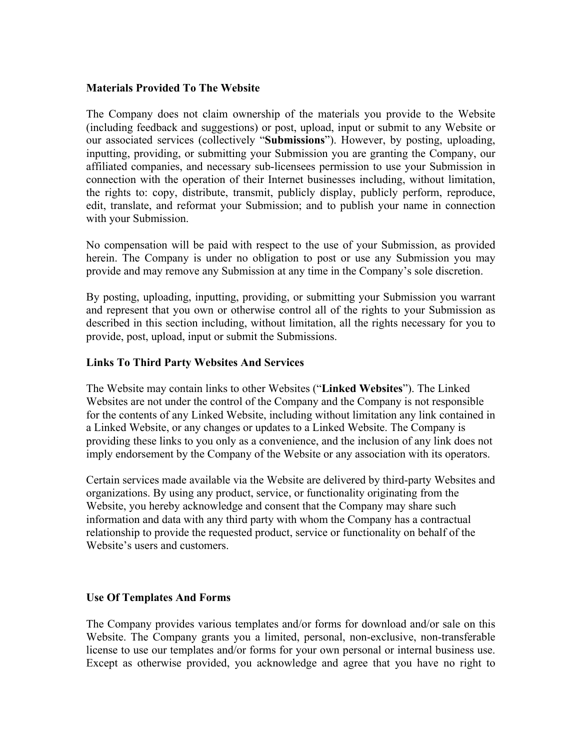### **Materials Provided To The Website**

The Company does not claim ownership of the materials you provide to the Website (including feedback and suggestions) or post, upload, input or submit to any Website or our associated services (collectively "**Submissions**"). However, by posting, uploading, inputting, providing, or submitting your Submission you are granting the Company, our affiliated companies, and necessary sub-licensees permission to use your Submission in connection with the operation of their Internet businesses including, without limitation, the rights to: copy, distribute, transmit, publicly display, publicly perform, reproduce, edit, translate, and reformat your Submission; and to publish your name in connection with your Submission.

No compensation will be paid with respect to the use of your Submission, as provided herein. The Company is under no obligation to post or use any Submission you may provide and may remove any Submission at any time in the Company's sole discretion.

By posting, uploading, inputting, providing, or submitting your Submission you warrant and represent that you own or otherwise control all of the rights to your Submission as described in this section including, without limitation, all the rights necessary for you to provide, post, upload, input or submit the Submissions.

### **Links To Third Party Websites And Services**

The Website may contain links to other Websites ("**Linked Websites**"). The Linked Websites are not under the control of the Company and the Company is not responsible for the contents of any Linked Website, including without limitation any link contained in a Linked Website, or any changes or updates to a Linked Website. The Company is providing these links to you only as a convenience, and the inclusion of any link does not imply endorsement by the Company of the Website or any association with its operators.

Certain services made available via the Website are delivered by third-party Websites and organizations. By using any product, service, or functionality originating from the Website, you hereby acknowledge and consent that the Company may share such information and data with any third party with whom the Company has a contractual relationship to provide the requested product, service or functionality on behalf of the Website's users and customers.

### **Use Of Templates And Forms**

The Company provides various templates and/or forms for download and/or sale on this Website. The Company grants you a limited, personal, non-exclusive, non-transferable license to use our templates and/or forms for your own personal or internal business use. Except as otherwise provided, you acknowledge and agree that you have no right to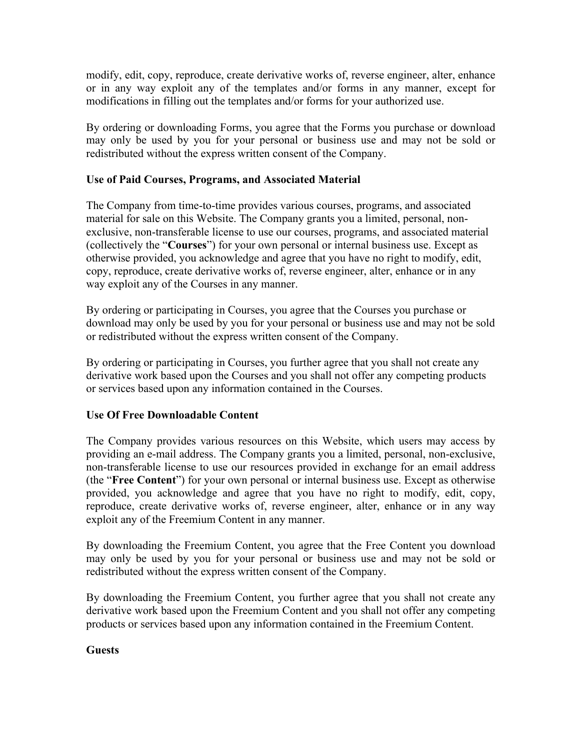modify, edit, copy, reproduce, create derivative works of, reverse engineer, alter, enhance or in any way exploit any of the templates and/or forms in any manner, except for modifications in filling out the templates and/or forms for your authorized use.

By ordering or downloading Forms, you agree that the Forms you purchase or download may only be used by you for your personal or business use and may not be sold or redistributed without the express written consent of the Company.

### **Use of Paid Courses, Programs, and Associated Material**

The Company from time-to-time provides various courses, programs, and associated material for sale on this Website. The Company grants you a limited, personal, nonexclusive, non-transferable license to use our courses, programs, and associated material (collectively the "**Courses**") for your own personal or internal business use. Except as otherwise provided, you acknowledge and agree that you have no right to modify, edit, copy, reproduce, create derivative works of, reverse engineer, alter, enhance or in any way exploit any of the Courses in any manner.

By ordering or participating in Courses, you agree that the Courses you purchase or download may only be used by you for your personal or business use and may not be sold or redistributed without the express written consent of the Company.

By ordering or participating in Courses, you further agree that you shall not create any derivative work based upon the Courses and you shall not offer any competing products or services based upon any information contained in the Courses.

# **Use Of Free Downloadable Content**

The Company provides various resources on this Website, which users may access by providing an e-mail address. The Company grants you a limited, personal, non-exclusive, non-transferable license to use our resources provided in exchange for an email address (the "**Free Content**") for your own personal or internal business use. Except as otherwise provided, you acknowledge and agree that you have no right to modify, edit, copy, reproduce, create derivative works of, reverse engineer, alter, enhance or in any way exploit any of the Freemium Content in any manner.

By downloading the Freemium Content, you agree that the Free Content you download may only be used by you for your personal or business use and may not be sold or redistributed without the express written consent of the Company.

By downloading the Freemium Content, you further agree that you shall not create any derivative work based upon the Freemium Content and you shall not offer any competing products or services based upon any information contained in the Freemium Content.

### **Guests**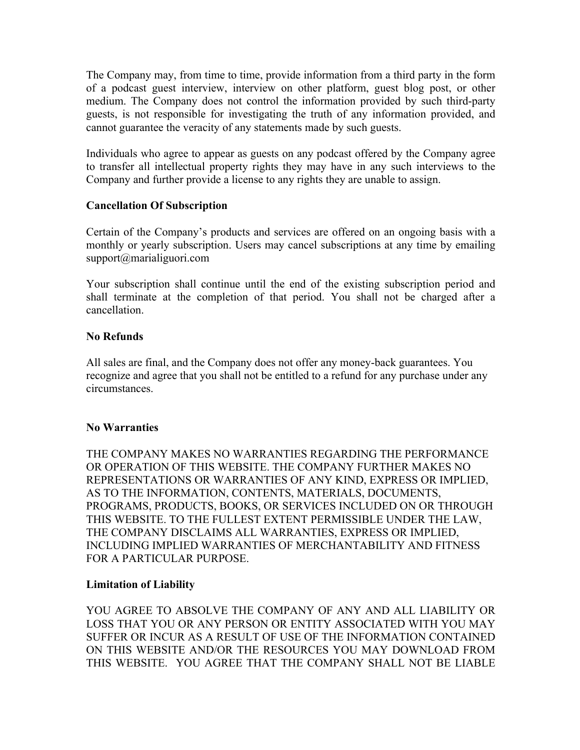The Company may, from time to time, provide information from a third party in the form of a podcast guest interview, interview on other platform, guest blog post, or other medium. The Company does not control the information provided by such third-party guests, is not responsible for investigating the truth of any information provided, and cannot guarantee the veracity of any statements made by such guests.

Individuals who agree to appear as guests on any podcast offered by the Company agree to transfer all intellectual property rights they may have in any such interviews to the Company and further provide a license to any rights they are unable to assign.

### **Cancellation Of Subscription**

Certain of the Company's products and services are offered on an ongoing basis with a monthly or yearly subscription. Users may cancel subscriptions at any time by emailing support@marialiguori.com

Your subscription shall continue until the end of the existing subscription period and shall terminate at the completion of that period. You shall not be charged after a cancellation.

### **No Refunds**

All sales are final, and the Company does not offer any money-back guarantees. You recognize and agree that you shall not be entitled to a refund for any purchase under any circumstances.

### **No Warranties**

THE COMPANY MAKES NO WARRANTIES REGARDING THE PERFORMANCE OR OPERATION OF THIS WEBSITE. THE COMPANY FURTHER MAKES NO REPRESENTATIONS OR WARRANTIES OF ANY KIND, EXPRESS OR IMPLIED, AS TO THE INFORMATION, CONTENTS, MATERIALS, DOCUMENTS, PROGRAMS, PRODUCTS, BOOKS, OR SERVICES INCLUDED ON OR THROUGH THIS WEBSITE. TO THE FULLEST EXTENT PERMISSIBLE UNDER THE LAW, THE COMPANY DISCLAIMS ALL WARRANTIES, EXPRESS OR IMPLIED, INCLUDING IMPLIED WARRANTIES OF MERCHANTABILITY AND FITNESS FOR A PARTICULAR PURPOSE.

### **Limitation of Liability**

YOU AGREE TO ABSOLVE THE COMPANY OF ANY AND ALL LIABILITY OR LOSS THAT YOU OR ANY PERSON OR ENTITY ASSOCIATED WITH YOU MAY SUFFER OR INCUR AS A RESULT OF USE OF THE INFORMATION CONTAINED ON THIS WEBSITE AND/OR THE RESOURCES YOU MAY DOWNLOAD FROM THIS WEBSITE. YOU AGREE THAT THE COMPANY SHALL NOT BE LIABLE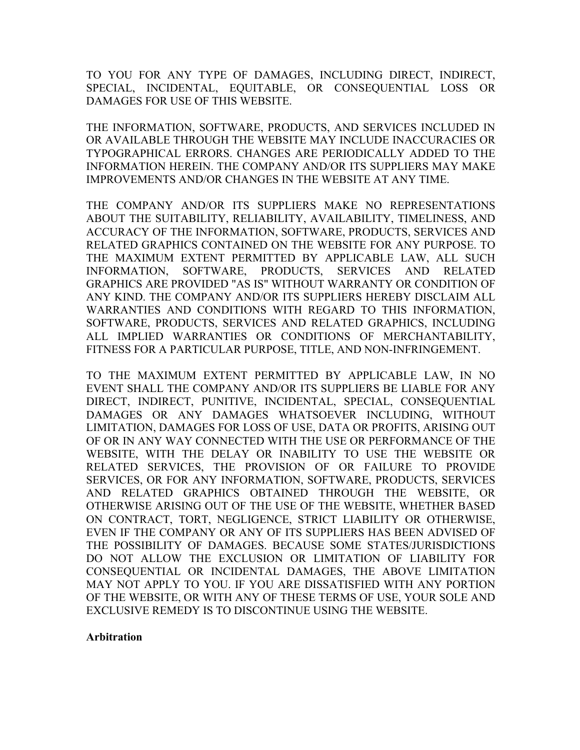TO YOU FOR ANY TYPE OF DAMAGES, INCLUDING DIRECT, INDIRECT, SPECIAL, INCIDENTAL, EQUITABLE, OR CONSEQUENTIAL LOSS OR DAMAGES FOR USE OF THIS WEBSITE.

THE INFORMATION, SOFTWARE, PRODUCTS, AND SERVICES INCLUDED IN OR AVAILABLE THROUGH THE WEBSITE MAY INCLUDE INACCURACIES OR TYPOGRAPHICAL ERRORS. CHANGES ARE PERIODICALLY ADDED TO THE INFORMATION HEREIN. THE COMPANY AND/OR ITS SUPPLIERS MAY MAKE IMPROVEMENTS AND/OR CHANGES IN THE WEBSITE AT ANY TIME.

THE COMPANY AND/OR ITS SUPPLIERS MAKE NO REPRESENTATIONS ABOUT THE SUITABILITY, RELIABILITY, AVAILABILITY, TIMELINESS, AND ACCURACY OF THE INFORMATION, SOFTWARE, PRODUCTS, SERVICES AND RELATED GRAPHICS CONTAINED ON THE WEBSITE FOR ANY PURPOSE. TO THE MAXIMUM EXTENT PERMITTED BY APPLICABLE LAW, ALL SUCH INFORMATION, SOFTWARE, PRODUCTS, SERVICES AND RELATED GRAPHICS ARE PROVIDED "AS IS" WITHOUT WARRANTY OR CONDITION OF ANY KIND. THE COMPANY AND/OR ITS SUPPLIERS HEREBY DISCLAIM ALL WARRANTIES AND CONDITIONS WITH REGARD TO THIS INFORMATION, SOFTWARE, PRODUCTS, SERVICES AND RELATED GRAPHICS, INCLUDING ALL IMPLIED WARRANTIES OR CONDITIONS OF MERCHANTABILITY, FITNESS FOR A PARTICULAR PURPOSE, TITLE, AND NON-INFRINGEMENT.

TO THE MAXIMUM EXTENT PERMITTED BY APPLICABLE LAW, IN NO EVENT SHALL THE COMPANY AND/OR ITS SUPPLIERS BE LIABLE FOR ANY DIRECT, INDIRECT, PUNITIVE, INCIDENTAL, SPECIAL, CONSEQUENTIAL DAMAGES OR ANY DAMAGES WHATSOEVER INCLUDING, WITHOUT LIMITATION, DAMAGES FOR LOSS OF USE, DATA OR PROFITS, ARISING OUT OF OR IN ANY WAY CONNECTED WITH THE USE OR PERFORMANCE OF THE WEBSITE, WITH THE DELAY OR INABILITY TO USE THE WEBSITE OR RELATED SERVICES, THE PROVISION OF OR FAILURE TO PROVIDE SERVICES, OR FOR ANY INFORMATION, SOFTWARE, PRODUCTS, SERVICES AND RELATED GRAPHICS OBTAINED THROUGH THE WEBSITE, OR OTHERWISE ARISING OUT OF THE USE OF THE WEBSITE, WHETHER BASED ON CONTRACT, TORT, NEGLIGENCE, STRICT LIABILITY OR OTHERWISE, EVEN IF THE COMPANY OR ANY OF ITS SUPPLIERS HAS BEEN ADVISED OF THE POSSIBILITY OF DAMAGES. BECAUSE SOME STATES/JURISDICTIONS DO NOT ALLOW THE EXCLUSION OR LIMITATION OF LIABILITY FOR CONSEQUENTIAL OR INCIDENTAL DAMAGES, THE ABOVE LIMITATION MAY NOT APPLY TO YOU. IF YOU ARE DISSATISFIED WITH ANY PORTION OF THE WEBSITE, OR WITH ANY OF THESE TERMS OF USE, YOUR SOLE AND EXCLUSIVE REMEDY IS TO DISCONTINUE USING THE WEBSITE.

#### **Arbitration**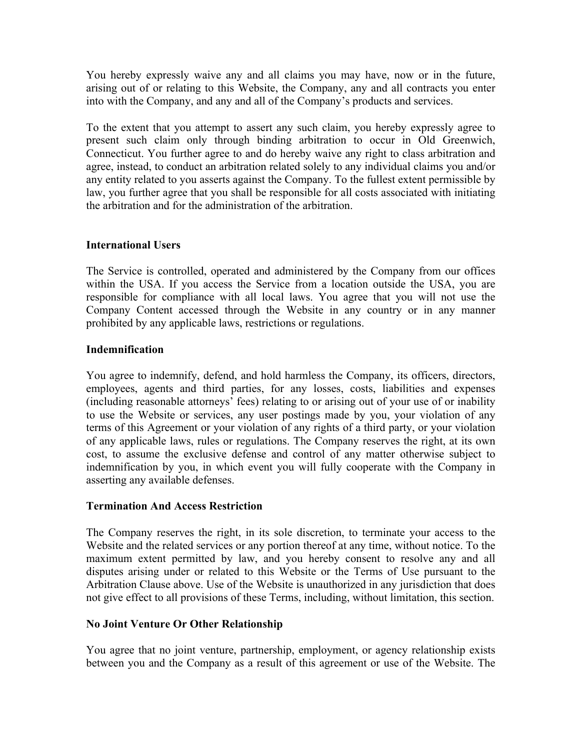You hereby expressly waive any and all claims you may have, now or in the future, arising out of or relating to this Website, the Company, any and all contracts you enter into with the Company, and any and all of the Company's products and services.

To the extent that you attempt to assert any such claim, you hereby expressly agree to present such claim only through binding arbitration to occur in Old Greenwich, Connecticut. You further agree to and do hereby waive any right to class arbitration and agree, instead, to conduct an arbitration related solely to any individual claims you and/or any entity related to you asserts against the Company. To the fullest extent permissible by law, you further agree that you shall be responsible for all costs associated with initiating the arbitration and for the administration of the arbitration.

### **International Users**

The Service is controlled, operated and administered by the Company from our offices within the USA. If you access the Service from a location outside the USA, you are responsible for compliance with all local laws. You agree that you will not use the Company Content accessed through the Website in any country or in any manner prohibited by any applicable laws, restrictions or regulations.

### **Indemnification**

You agree to indemnify, defend, and hold harmless the Company, its officers, directors, employees, agents and third parties, for any losses, costs, liabilities and expenses (including reasonable attorneys' fees) relating to or arising out of your use of or inability to use the Website or services, any user postings made by you, your violation of any terms of this Agreement or your violation of any rights of a third party, or your violation of any applicable laws, rules or regulations. The Company reserves the right, at its own cost, to assume the exclusive defense and control of any matter otherwise subject to indemnification by you, in which event you will fully cooperate with the Company in asserting any available defenses.

### **Termination And Access Restriction**

The Company reserves the right, in its sole discretion, to terminate your access to the Website and the related services or any portion thereof at any time, without notice. To the maximum extent permitted by law, and you hereby consent to resolve any and all disputes arising under or related to this Website or the Terms of Use pursuant to the Arbitration Clause above. Use of the Website is unauthorized in any jurisdiction that does not give effect to all provisions of these Terms, including, without limitation, this section.

### **No Joint Venture Or Other Relationship**

You agree that no joint venture, partnership, employment, or agency relationship exists between you and the Company as a result of this agreement or use of the Website. The